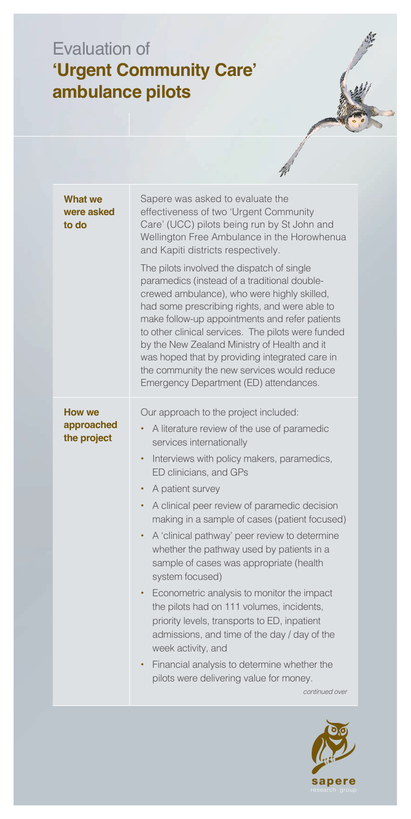## Evaluation of **'Urgent Community Care' ambulance pilots**

| What we<br>were asked<br>to do             | Sapere was asked to evaluate the<br>effectiveness of two 'Urgent Community<br>Care' (UCC) pilots being run by St John and<br>Wellington Free Ambulance in the Horowhenua<br>and Kapiti districts respectively.<br>The pilots involved the dispatch of single<br>paramedics (instead of a traditional double-<br>crewed ambulance), who were highly skilled,<br>had some prescribing rights, and were able to<br>make follow-up appointments and refer patients<br>to other clinical services. The pilots were funded<br>by the New Zealand Ministry of Health and it<br>was hoped that by providing integrated care in<br>the community the new services would reduce<br>Emergency Department (ED) attendances.                                                                                                                                                   |
|--------------------------------------------|-------------------------------------------------------------------------------------------------------------------------------------------------------------------------------------------------------------------------------------------------------------------------------------------------------------------------------------------------------------------------------------------------------------------------------------------------------------------------------------------------------------------------------------------------------------------------------------------------------------------------------------------------------------------------------------------------------------------------------------------------------------------------------------------------------------------------------------------------------------------|
| <b>How we</b><br>approached<br>the project | Our approach to the project included:<br>A literature review of the use of paramedic<br>$\bullet$<br>services internationally<br>Interviews with policy makers, paramedics,<br>$\bullet$<br>ED clinicians, and GPs<br>A patient survey<br>٠<br>A clinical peer review of paramedic decision<br>$\bullet$<br>making in a sample of cases (patient focused)<br>A 'clinical pathway' peer review to determine<br>٠<br>whether the pathway used by patients in a<br>sample of cases was appropriate (health<br>system focused)<br>Econometric analysis to monitor the impact<br>٠<br>the pilots had on 111 volumes, incidents,<br>priority levels, transports to ED, inpatient<br>admissions, and time of the day / day of the<br>week activity, and<br>Financial analysis to determine whether the<br>٠<br>pilots were delivering value for money.<br>continued over |